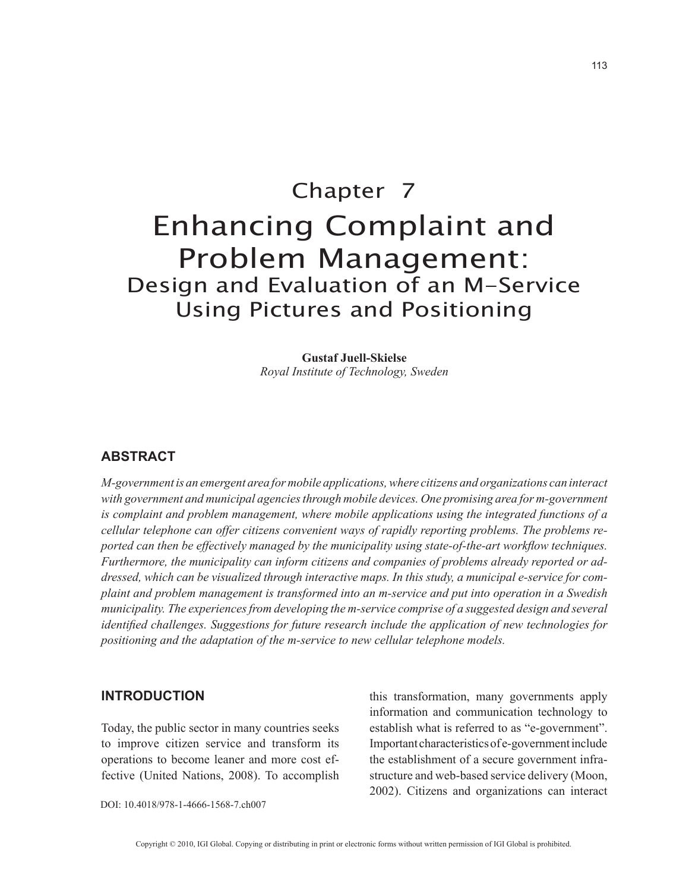# Chapter 7 Enhancing Complaint and Problem Management: Design and Evaluation of an M-Service Using Pictures and Positioning

**Gustaf Juell-Skielse** *Royal Institute of Technology, Sweden*

#### **ABSTRACT**

*M-government is an emergent area for mobile applications, where citizens and organizations can interact with government and municipal agencies through mobile devices. One promising area for m-government is complaint and problem management, where mobile applications using the integrated functions of a cellular telephone can offer citizens convenient ways of rapidly reporting problems. The problems reported can then be effectively managed by the municipality using state-of-the-art workflow techniques. Furthermore, the municipality can inform citizens and companies of problems already reported or addressed, which can be visualized through interactive maps. In this study, a municipal e-service for complaint and problem management is transformed into an m-service and put into operation in a Swedish municipality. The experiences from developing the m-service comprise of a suggested design and several identified challenges. Suggestions for future research include the application of new technologies for positioning and the adaptation of the m-service to new cellular telephone models.*

#### **INTRODUCTION**

Today, the public sector in many countries seeks to improve citizen service and transform its operations to become leaner and more cost effective (United Nations, 2008). To accomplish this transformation, many governments apply information and communication technology to establish what is referred to as "e-government". Important characteristics of e-government include the establishment of a secure government infrastructure and web-based service delivery (Moon, 2002). Citizens and organizations can interact

DOI: 10.4018/978-1-4666-1568-7.ch007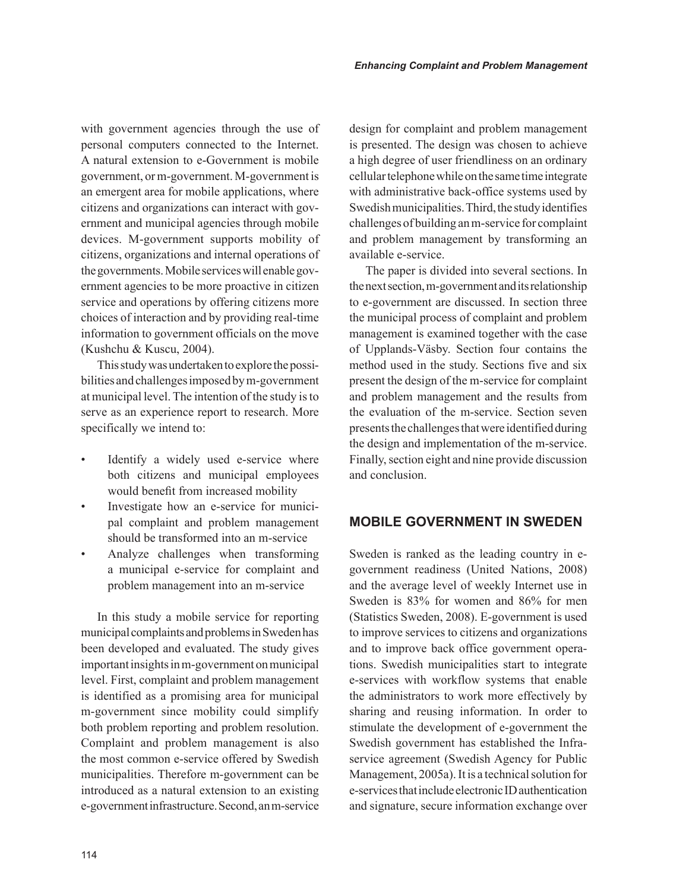with government agencies through the use of personal computers connected to the Internet. A natural extension to e-Government is mobile government, or m-government. M-government is an emergent area for mobile applications, where citizens and organizations can interact with government and municipal agencies through mobile devices. M-government supports mobility of citizens, organizations and internal operations of the governments. Mobile services will enable government agencies to be more proactive in citizen service and operations by offering citizens more choices of interaction and by providing real-time information to government officials on the move (Kushchu & Kuscu, 2004).

This study was undertaken to explore the possibilities and challenges imposed by m-government at municipal level. The intention of the study is to serve as an experience report to research. More specifically we intend to:

- Identify a widely used e-service where both citizens and municipal employees would benefit from increased mobility
- Investigate how an e-service for municipal complaint and problem management should be transformed into an m-service
- Analyze challenges when transforming a municipal e-service for complaint and problem management into an m-service

In this study a mobile service for reporting municipal complaints and problems in Sweden has been developed and evaluated. The study gives important insights in m-government on municipal level. First, complaint and problem management is identified as a promising area for municipal m-government since mobility could simplify both problem reporting and problem resolution. Complaint and problem management is also the most common e-service offered by Swedish municipalities. Therefore m-government can be introduced as a natural extension to an existing e-government infrastructure. Second, an m-service design for complaint and problem management is presented. The design was chosen to achieve a high degree of user friendliness on an ordinary cellular telephone while on the same time integrate with administrative back-office systems used by Swedish municipalities. Third, the study identifies challenges of building an m-service for complaint and problem management by transforming an available e-service.

The paper is divided into several sections. In the next section, m-government and its relationship to e-government are discussed. In section three the municipal process of complaint and problem management is examined together with the case of Upplands-Väsby. Section four contains the method used in the study. Sections five and six present the design of the m-service for complaint and problem management and the results from the evaluation of the m-service. Section seven presents the challenges that were identified during the design and implementation of the m-service. Finally, section eight and nine provide discussion and conclusion.

# **MOBILE GOVERNMENT IN SWEDEN**

Sweden is ranked as the leading country in egovernment readiness (United Nations, 2008) and the average level of weekly Internet use in Sweden is 83% for women and 86% for men (Statistics Sweden, 2008). E-government is used to improve services to citizens and organizations and to improve back office government operations. Swedish municipalities start to integrate e-services with workflow systems that enable the administrators to work more effectively by sharing and reusing information. In order to stimulate the development of e-government the Swedish government has established the Infraservice agreement (Swedish Agency for Public Management, 2005a). It is a technical solution for e-services that include electronic ID authentication and signature, secure information exchange over